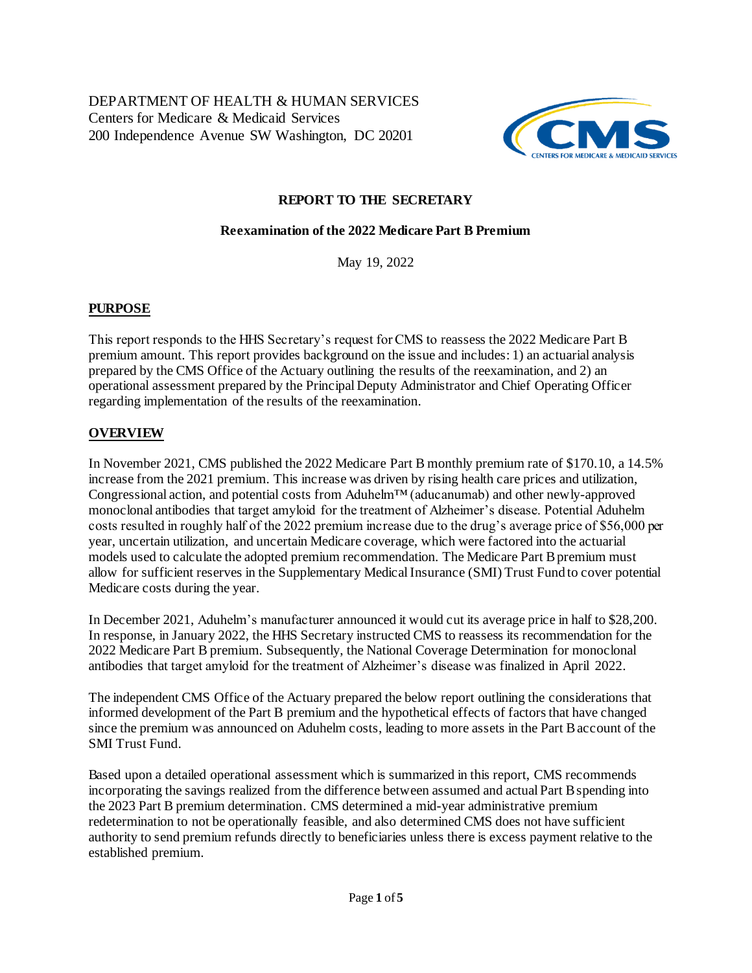

# **REPORT TO THE SECRETARY**

#### **Reexamination of the 2022 Medicare Part B Premium**

May 19, 2022

## **PURPOSE**

 This report responds to the HHS Secretary's request for CMS to reassess the 2022 Medicare Part B premium amount. This report provides background on the issue and includes: 1) an actuarial analysis prepared by the CMS Office of the Actuary outlining the results of the reexamination, and 2) an operational assessment prepared by the Principal Deputy Administrator and Chief Operating Officer regarding implementation of the results of the reexamination.

## **OVERVIEW**

 In November 2021, CMS published the 2022 Medicare Part B monthly premium rate of \$170.10, a 14.5% increase from the 2021 premium. This increase was driven by rising health care prices and utilization, Congressional action, and potential costs from Aduhelm™ (aducanumab) and other newly-approved monoclonal antibodies that target amyloid for the treatment of Alzheimer's disease. Potential Aduhelm costs resulted in roughly half of the 2022 premium increase due to the drug's average price of \$56,000 per year, uncertain utilization, and uncertain Medicare coverage, which were factored into the actuarial models used to calculate the adopted premium recommendation. The Medicare Part B premium must allow for sufficient reserves in the Supplementary Medical Insurance (SMI) Trust Fund to cover potential Medicare costs during the year.

 In December 2021, Aduhelm's manufacturer announced it would cut its average price in half to \$28,200. In response, in January 2022, the HHS Secretary instructed CMS to reassess its recommendation for the 2022 Medicare Part B premium. Subsequently, the National Coverage Determination for monoclonal antibodies that target amyloid for the treatment of Alzheimer's disease was finalized in April 2022.

 The independent CMS Office of the Actuary prepared the below report outlining the considerations that informed development of the Part B premium and the hypothetical effects of factors that have changed since the premium was announced on Aduhelm costs, leading to more assets in the Part Baccount of the SMI Trust Fund.

 Based upon a detailed operational assessment which is summarized in this report, CMS recommends incorporating the savings realized from the difference between assumed and actual Part Bspending into the 2023 Part B premium determination. CMS determined a mid-year administrative premium redetermination to not be operationally feasible, and also determined CMS does not have sufficient authority to send premium refunds directly to beneficiaries unless there is excess payment relative to the established premium.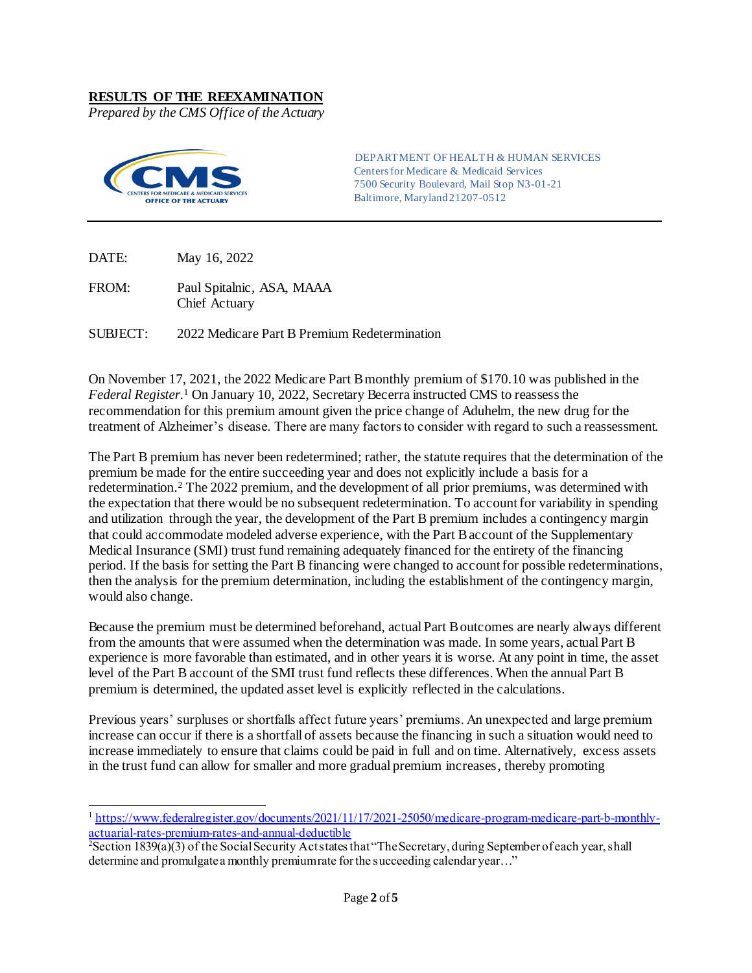#### **RESULTS OF THE REEXAMINATION**

*Prepared by the CMS Office of the Actuary* 



 Centers for Medicare & Medicaid Services 7500 Security Boulevard, Mail Stop N3-01-21 Baltimore, Maryland 21207-0512 DEPARTMENT OF HEALTH & HUMAN SERVICES

DATE: May 16, 2022

 $\overline{a}$ 

 FROM: Paul Spitalnic, ASA, MAAA Chief Actuary

SUBJECT: 2022 Medicare Part B Premium Redetermination

 On November 17, 2021, the 2022 Medicare Part Bmonthly premium of \$170.10 was published in the *Federal Register*.1 On January 10, 2022, Secretary Becerra instructed CMS to reassess the recommendation for this premium amount given the price change of Aduhelm, the new drug for the treatment of Alzheimer's disease. There are many factors to consider with regard to such a reassessment.

 The Part B premium has never been redetermined; rather, the statute requires that the determination of the premium be made for the entire succeeding year and does not explicitly include a basis for a redetermination.<sup>2</sup> The 2022 premium, and the development of all prior premiums, was determined with the expectation that there would be no subsequent redetermination. To account for variability in spending and utilization through the year, the development of the Part B premium includes a contingency margin that could accommodate modeled adverse experience, with the Part Baccount of the Supplementary Medical Insurance (SMI) trust fund remaining adequately financed for the entirety of the financing period. If the basis for setting the Part B financing were changed to account for possible redeterminations, then the analysis for the premium determination, including the establishment of the contingency margin, would also change.

 Because the premium must be determined beforehand, actual Part Boutcomes are nearly always different from the amounts that were assumed when the determination was made. In some years, actual Part B experience is more favorable than estimated, and in other years it is worse. At any point in time, the asset level of the Part B account of the SMI trust fund reflects these differences. When the annual Part B premium is determined, the updated asset level is explicitly reflected in the calculations.

 Previous years' surpluses or shortfalls affect future years' premiums. An unexpected and large premium increase can occur if there is a shortfall of assets because the financing in such a situation would need to increase immediately to ensure that claims could be paid in full and on time. Alternatively, excess assets in the trust fund can allow for smaller and more gradual premium increases, thereby promoting

<sup>&</sup>lt;sup>1</sup> [https://www.federalregister.gov/documents/2021/11/17/2021-25050/medicare-program-medicare-part-b-monthly](https://www.federalregister.gov/documents/2021/11/17/2021-25050/medicare-program-medicare-part-b-monthly-actuarial-rates-premium-rates-and-annual-deductible)[actuarial-rates-premium-rates-and-annual-deductible](https://www.federalregister.gov/documents/2021/11/17/2021-25050/medicare-program-medicare-part-b-monthly-actuarial-rates-premium-rates-and-annual-deductible) 2

Section 1839(a)(3) of the Social Security Act states that "The Secretary, during September of each year, shall determine and promulgatea monthly premiumrate forthe succeeding calendar year…"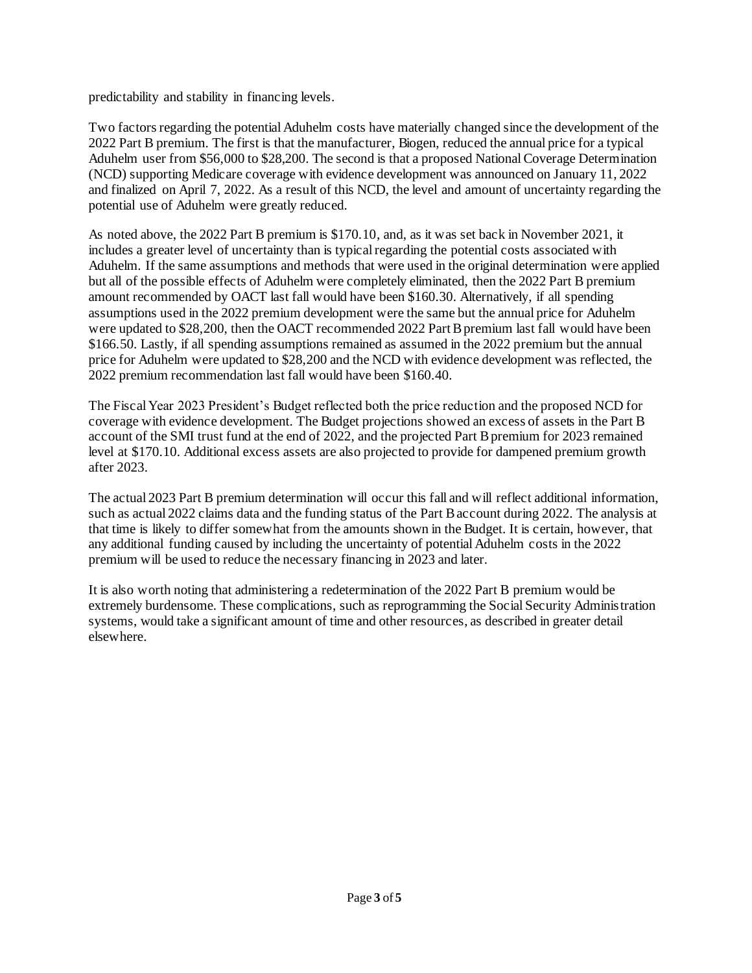predictability and stability in financing levels.

Two factors regarding the potential Aduhelm costs have materially changed since the development of the 2022 Part B premium. The first is that the manufacturer, Biogen, reduced the annual price for a typical Aduhelm user from \$56,000 to \$28,200. The second is that a proposed National Coverage Determination (NCD) supporting Medicare coverage with evidence development was announced on January 11, 2022 and finalized on April 7, 2022. As a result of this NCD, the level and amount of uncertainty regarding the potential use of Aduhelm were greatly reduced.

 As noted above, the 2022 Part B premium is \$170.10, and, as it was set back in November 2021, it includes a greater level of uncertainty than is typical regarding the potential costs associated with Aduhelm. If the same assumptions and methods that were used in the original determination were applied but all of the possible effects of Aduhelm were completely eliminated, then the 2022 Part B premium amount recommended by OACT last fall would have been \$160.30. Alternatively, if all spending assumptions used in the 2022 premium development were the same but the annual price for Aduhelm were updated to \$28,200, then the OACT recommended 2022 Part B premium last fall would have been \$166.50. Lastly, if all spending assumptions remained as assumed in the 2022 premium but the annual price for Aduhelm were updated to \$28,200 and the NCD with evidence development was reflected, the 2022 premium recommendation last fall would have been \$160.40.

 The FiscalYear 2023 President's Budget reflected both the price reduction and the proposed NCD for coverage with evidence development. The Budget projections showed an excess of assets in the Part B account of the SMI trust fund at the end of 2022, and the projected Part B premium for 2023 remained level at \$170.10. Additional excess assets are also projected to provide for dampened premium growth after 2023.

 The actual 2023 Part B premium determination will occur this fall and will reflect additional information, such as actual 2022 claims data and the funding status of the Part B account during 2022. The analysis at that time is likely to differ somewhat from the amounts shown in the Budget. It is certain, however, that any additional funding caused by including the uncertainty of potential Aduhelm costs in the 2022 premium will be used to reduce the necessary financing in 2023 and later.

 It is also worth noting that administering a redetermination of the 2022 Part B premium would be extremely burdensome. These complications, such as reprogramming the Social Security Administration systems, would take a significant amount of time and other resources, as described in greater detail elsewhere.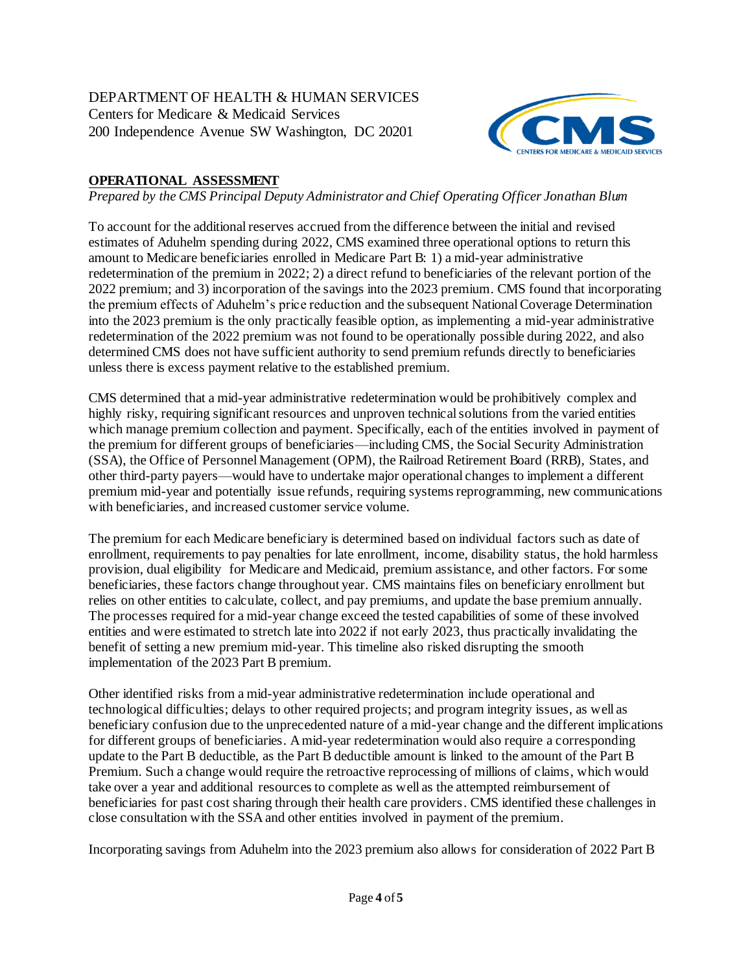

# **OPERATIONAL ASSESSMENT**

 *Prepared by the CMS Principal Deputy Administrator and Chief Operating Officer Jonathan Blum* 

To account for the additional reserves accrued from the difference between the initial and revised estimates of Aduhelm spending during 2022, CMS examined three operational options to return this amount to Medicare beneficiaries enrolled in Medicare Part B: 1) a mid-year administrative redetermination of the premium in 2022; 2) a direct refund to beneficiaries of the relevant portion of the 2022 premium; and 3) incorporation of the savings into the 2023 premium. CMS found that incorporating the premium effects of Aduhelm's price reduction and the subsequent National Coverage Determination into the 2023 premium is the only practically feasible option, as implementing a mid-year administrative redetermination of the 2022 premium was not found to be operationally possible during 2022, and also determined CMS does not have sufficient authority to send premium refunds directly to beneficiaries unless there is excess payment relative to the established premium.

 which manage premium collection and payment. Specifically, each of the entities involved in payment of the premium for different groups of beneficiaries—including CMS, the Social Security Administration (SSA), the Office of Personnel Management (OPM), the Railroad Retirement Board (RRB), States, and other third-party payers—would have to undertake major operational changes to implement a different premium mid-year and potentially issue refunds, requiring systems reprogramming, new communications CMS determined that a mid-year administrative redetermination would be prohibitively complex and highly risky, requiring significant resources and unproven technical solutions from the varied entities with beneficiaries, and increased customer service volume.

 The premium for each Medicare beneficiary is determined based on individual factors such as date of enrollment, requirements to pay penalties for late enrollment, income, disability status, the hold harmless provision, dual eligibility for Medicare and Medicaid, premium assistance, and other factors. For some beneficiaries, these factors change throughout year. CMS maintains files on beneficiary enrollment but relies on other entities to calculate, collect, and pay premiums, and update the base premium annually. The processes required for a mid-year change exceed the tested capabilities of some of these involved entities and were estimated to stretch late into 2022 if not early 2023, thus practically invalidating the benefit of setting a new premium mid-year. This timeline also risked disrupting the smooth implementation of the 2023 Part B premium.

 Other identified risks from a mid-year administrative redetermination include operational and technological difficulties; delays to other required projects; and program integrity issues, as well as beneficiary confusion due to the unprecedented nature of a mid-year change and the different implications for different groups of beneficiaries. A mid-year redetermination would also require a corresponding update to the Part B deductible, as the Part B deductible amount is linked to the amount of the Part B Premium. Such a change would require the retroactive reprocessing of millions of claims, which would take over a year and additional resources to complete as well as the attempted reimbursement of beneficiaries for past cost sharing through their health care providers. CMS identified these challenges in close consultation with the SSA and other entities involved in payment of the premium.

Incorporating savings from Aduhelm into the 2023 premium also allows for consideration of 2022 Part B